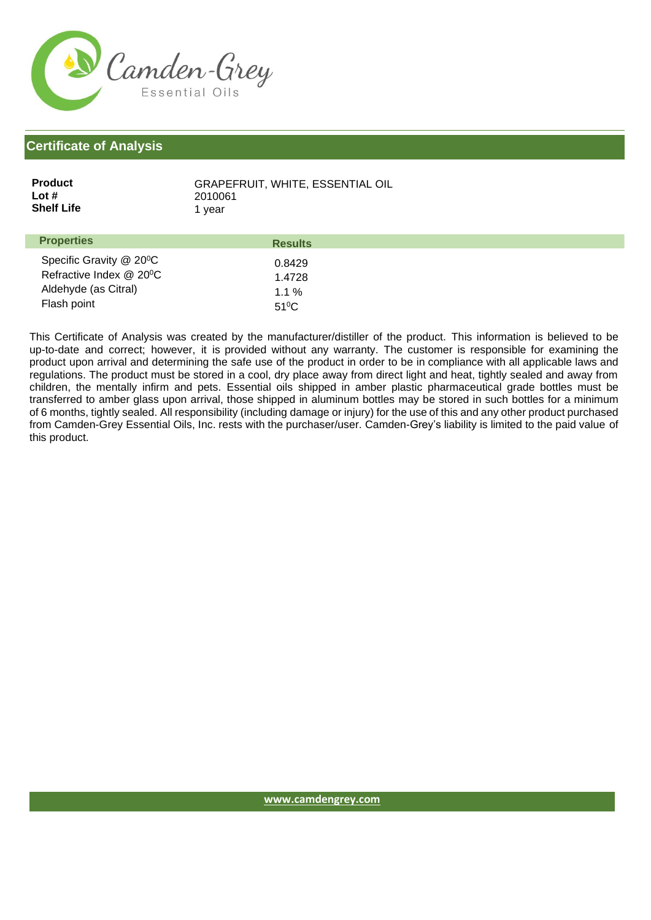

## **Certificate of Analysis**

| <b>Product</b>    | <b>GRAPEFRUIT, WHITE, ESSENTIAL OIL</b> |
|-------------------|-----------------------------------------|
| Lot $#$           | 2010061                                 |
| <b>Shelf Life</b> | 1 vear                                  |
|                   |                                         |

| <b>Properties</b>                                                                                      | <b>Results</b>                                |  |
|--------------------------------------------------------------------------------------------------------|-----------------------------------------------|--|
| Specific Gravity @ 20 <sup>°</sup> C<br>Refractive Index @ 20°C<br>Aldehyde (as Citral)<br>Flash point | 0.8429<br>1.4728<br>$1.1\%$<br>$51^{\circ}$ C |  |
|                                                                                                        |                                               |  |

This Certificate of Analysis was created by the manufacturer/distiller of the product. This information is believed to be up-to-date and correct; however, it is provided without any warranty. The customer is responsible for examining the product upon arrival and determining the safe use of the product in order to be in compliance with all applicable laws and regulations. The product must be stored in a cool, dry place away from direct light and heat, tightly sealed and away from children, the mentally infirm and pets. Essential oils shipped in amber plastic pharmaceutical grade bottles must be transferred to amber glass upon arrival, those shipped in aluminum bottles may be stored in such bottles for a minimum of 6 months, tightly sealed. All responsibility (including damage or injury) for the use of this and any other product purchased from Camden-Grey Essential Oils, Inc. rests with the purchaser/user. Camden-Grey's liability is limited to the paid value of this product.